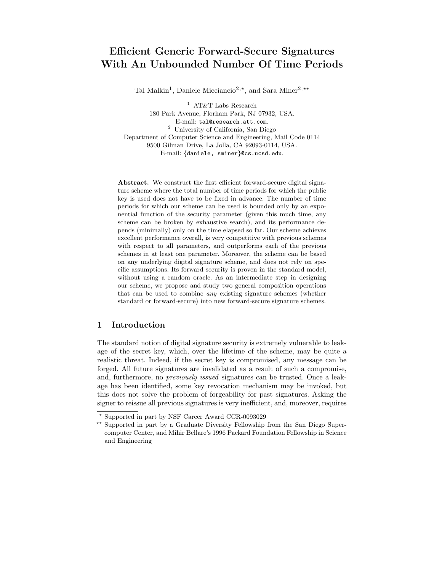# Efficient Generic Forward-Secure Signatures With An Unbounded Number Of Time Periods

Tal Malkin<sup>1</sup>, Daniele Micciancio<sup>2,\*</sup>, and Sara Miner<sup>2,\*\*</sup>

<sup>1</sup> AT&T Labs Research 180 Park Avenue, Florham Park, NJ 07932, USA. E-mail: tal@research.att.com.  $^{\rm 2}$ University of California, San Diego Department of Computer Science and Engineering, Mail Code 0114 9500 Gilman Drive, La Jolla, CA 92093-0114, USA. E-mail: {daniele, sminer}@cs.ucsd.edu.

Abstract. We construct the first efficient forward-secure digital signature scheme where the total number of time periods for which the public key is used does not have to be fixed in advance. The number of time periods for which our scheme can be used is bounded only by an exponential function of the security parameter (given this much time, any scheme can be broken by exhaustive search), and its performance depends (minimally) only on the time elapsed so far. Our scheme achieves excellent performance overall, is very competitive with previous schemes with respect to all parameters, and outperforms each of the previous schemes in at least one parameter. Moreover, the scheme can be based on any underlying digital signature scheme, and does not rely on specific assumptions. Its forward security is proven in the standard model, without using a random oracle. As an intermediate step in designing our scheme, we propose and study two general composition operations that can be used to combine any existing signature schemes (whether standard or forward-secure) into new forward-secure signature schemes.

## 1 Introduction

The standard notion of digital signature security is extremely vulnerable to leakage of the secret key, which, over the lifetime of the scheme, may be quite a realistic threat. Indeed, if the secret key is compromised, any message can be forged. All future signatures are invalidated as a result of such a compromise, and, furthermore, no previously issued signatures can be trusted. Once a leakage has been identified, some key revocation mechanism may be invoked, but this does not solve the problem of forgeability for past signatures. Asking the signer to reissue all previous signatures is very inefficient, and, moreover, requires

<sup>?</sup> Supported in part by NSF Career Award CCR-0093029

Supported in part by a Graduate Diversity Fellowship from the San Diego Supercomputer Center, and Mihir Bellare's 1996 Packard Foundation Fellowship in Science and Engineering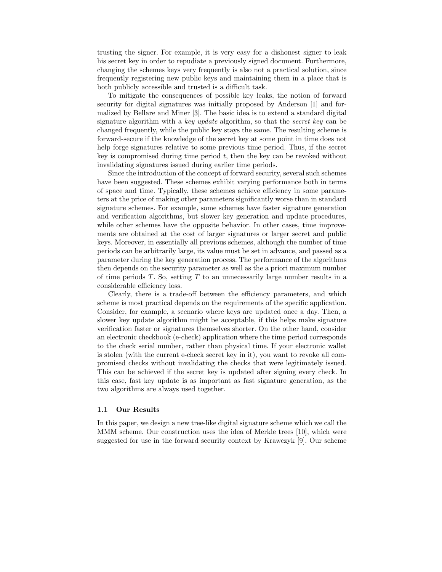trusting the signer. For example, it is very easy for a dishonest signer to leak his secret key in order to repudiate a previously signed document. Furthermore, changing the schemes keys very frequently is also not a practical solution, since frequently registering new public keys and maintaining them in a place that is both publicly accessible and trusted is a difficult task.

To mitigate the consequences of possible key leaks, the notion of forward security for digital signatures was initially proposed by Anderson [1] and formalized by Bellare and Miner [3]. The basic idea is to extend a standard digital signature algorithm with a key update algorithm, so that the *secret key* can be changed frequently, while the public key stays the same. The resulting scheme is forward-secure if the knowledge of the secret key at some point in time does not help forge signatures relative to some previous time period. Thus, if the secret key is compromised during time period  $t$ , then the key can be revoked without invalidating signatures issued during earlier time periods.

Since the introduction of the concept of forward security, several such schemes have been suggested. These schemes exhibit varying performance both in terms of space and time. Typically, these schemes achieve efficiency in some parameters at the price of making other parameters significantly worse than in standard signature schemes. For example, some schemes have faster signature generation and verification algorithms, but slower key generation and update procedures, while other schemes have the opposite behavior. In other cases, time improvements are obtained at the cost of larger signatures or larger secret and public keys. Moreover, in essentially all previous schemes, although the number of time periods can be arbitrarily large, its value must be set in advance, and passed as a parameter during the key generation process. The performance of the algorithms then depends on the security parameter as well as the a priori maximum number of time periods  $T$ . So, setting  $T$  to an unnecessarily large number results in a considerable efficiency loss.

Clearly, there is a trade-off between the efficiency parameters, and which scheme is most practical depends on the requirements of the specific application. Consider, for example, a scenario where keys are updated once a day. Then, a slower key update algorithm might be acceptable, if this helps make signature verification faster or signatures themselves shorter. On the other hand, consider an electronic checkbook (e-check) application where the time period corresponds to the check serial number, rather than physical time. If your electronic wallet is stolen (with the current e-check secret key in it), you want to revoke all compromised checks without invalidating the checks that were legitimately issued. This can be achieved if the secret key is updated after signing every check. In this case, fast key update is as important as fast signature generation, as the two algorithms are always used together.

#### 1.1 Our Results

In this paper, we design a new tree-like digital signature scheme which we call the MMM scheme. Our construction uses the idea of Merkle trees [10], which were suggested for use in the forward security context by Krawczyk [9]. Our scheme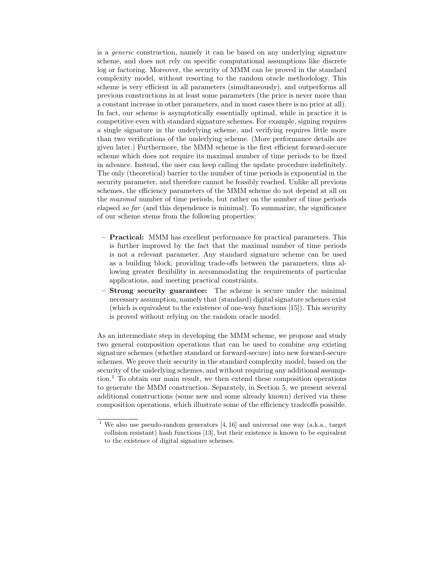is a generic construction, namely it can be based on any underlying signature scheme, and does not rely on specific computational assumptions like discrete log or factoring. Moreover, the security of MMM can be proved in the standard complexity model, without resorting to the random oracle methodology. This scheme is very efficient in all parameters (simultaneously), and outperforms all previous constructions in at least some parameters (the price is never more than a constant increase in other parameters, and in most cases there is no price at all). In fact, our scheme is asymptotically essentially optimal, while in practice it is competitive even with standard signature schemes. For example, signing requires a single signature in the underlying scheme, and verifying requires little more than two verifications of the underlying scheme. (More performance details are given later.) Furthermore, the MMM scheme is the first efficient forward-secure scheme which does not require its maximal number of time periods to be fixed in advance. Instead, the user can keep calling the update procedure indefinitely. The only (theoretical) barrier to the number of time periods is exponential in the security parameter, and therefore cannot be feasibly reached. Unlike all previous schemes, the efficiency parameters of the MMM scheme do not depend at all on the maximal number of time periods, but rather on the number of time periods elapsed so far (and this dependence is minimal). To summarize, the significance of our scheme stems from the following properties:

- Practical: MMM has excellent performance for practical parameters. This is further improved by the fact that the maximal number of time periods is not a relevant parameter. Any standard signature scheme can be used as a building block, providing trade-offs between the parameters, thus allowing greater flexibility in accommodating the requirements of particular applications, and meeting practical constraints.
- Strong security guarantee: The scheme is secure under the minimal necessary assumption, namely that (standard) digital signature schemes exist (which is equivalent to the existence of one-way functions [15]). This security is proved without relying on the random oracle model.

As an intermediate step in developing the MMM scheme, we propose and study two general composition operations that can be used to combine any existing signature schemes (whether standard or forward-secure) into new forward-secure schemes. We prove their security in the standard complexity model, based on the security of the underlying schemes, and without requiring any additional assumption.<sup>1</sup> To obtain our main result, we then extend these composition operations to generate the MMM construction. Separately, in Section 5, we present several additional constructions (some new and some already known) derived via these composition operations, which illustrate some of the efficiency tradeoffs possible.

<sup>1</sup> We also use pseudo-random generators [4, 16] and universal one way (a.k.a., target collision resistant) hash functions [13], but their existence is known to be equivalent to the existence of digital signature schemes.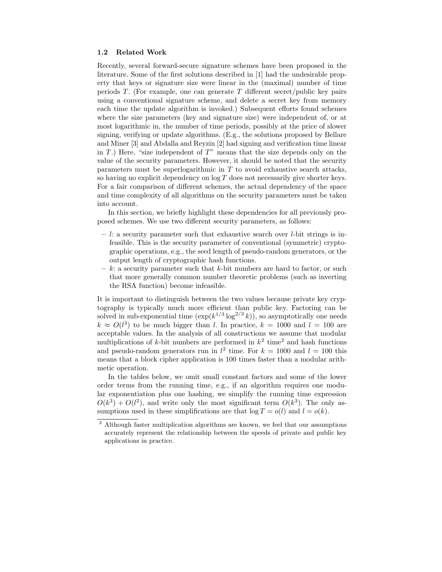## 1.2 Related Work

Recently, several forward-secure signature schemes have been proposed in the literature. Some of the first solutions described in [1] had the undesirable property that keys or signature size were linear in the (maximal) number of time periods  $T$ . (For example, one can generate  $T$  different secret/public key pairs using a conventional signature scheme, and delete a secret key from memory each time the update algorithm is invoked.) Subsequent efforts found schemes where the size parameters (key and signature size) were independent of, or at most logarithmic in, the number of time periods, possibly at the price of slower signing, verifying or update algorithms. (E.g., the solutions proposed by Bellare and Miner [3] and Abdalla and Reyzin [2] had signing and verification time linear in  $T$ .) Here, "size independent of  $T$ " means that the size depends only on the value of the security parameters. However, it should be noted that the security parameters must be superlogarithmic in T to avoid exhaustive search attacks, so having no explicit dependency on  $\log T$  does not necessarily give shorter keys. For a fair comparison of different schemes, the actual dependency of the space and time complexity of all algorithms on the security parameters must be taken into account.

In this section, we briefly highlight these dependencies for all previously proposed schemes. We use two different security parameters, as follows:

- $l$ : a security parameter such that exhaustive search over *l*-bit strings is infeasible. This is the security parameter of conventional (symmetric) cryptographic operations, e.g., the seed length of pseudo-random generators, or the output length of cryptographic hash functions.
- $k:$  a security parameter such that k-bit numbers are hard to factor, or such that more generally common number theoretic problems (such as inverting the RSA function) become infeasible.

It is important to distinguish between the two values because private key cryptography is typically much more efficient than public key. Factoring can be solved in sub-exponential time  $(\exp(k^{1/3} \log^{2/3} k))$ , so asymptotically one needs  $k \approx O(l^3)$  to be much bigger than l. In practice,  $k = 1000$  and  $l = 100$  are acceptable values. In the analysis of all constructions we assume that modular multiplications of k-bit numbers are performed in  $k^2$  time<sup>2</sup> and hash functions and pseudo-random generators run in  $l^2$  time. For  $k = 1000$  and  $l = 100$  this means that a block cipher application is 100 times faster than a modular arithmetic operation.

In the tables below, we omit small constant factors and some of the lower order terms from the running time, e.g., if an algorithm requires one modular exponentiation plus one hashing, we simplify the running time expression  $O(k^3) + O(l^2)$ , and write only the most significant term  $O(k^3)$ . The only assumptions used in these simplifications are that  $\log T = o(l)$  and  $l = o(k)$ .

<sup>&</sup>lt;sup>2</sup> Although faster multiplication algorithms are known, we feel that our assumptions accurately represent the relationship between the speeds of private and public key applications in practice.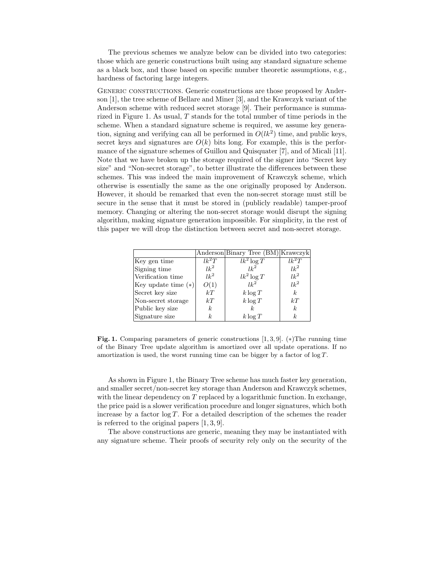The previous schemes we analyze below can be divided into two categories: those which are generic constructions built using any standard signature scheme as a black box, and those based on specific number theoretic assumptions, e.g., hardness of factoring large integers.

Generic constructions. Generic constructions are those proposed by Anderson [1], the tree scheme of Bellare and Miner [3], and the Krawczyk variant of the Anderson scheme with reduced secret storage [9]. Their performance is summarized in Figure 1. As usual, T stands for the total number of time periods in the scheme. When a standard signature scheme is required, we assume key generation, signing and verifying can all be performed in  $O(lk^2)$  time, and public keys, secret keys and signatures are  $O(k)$  bits long. For example, this is the performance of the signature schemes of Guillou and Quisquater [7], and of Micali [11]. Note that we have broken up the storage required of the signer into "Secret key size" and "Non-secret storage", to better illustrate the differences between these schemes. This was indeed the main improvement of Krawczyk scheme, which otherwise is essentially the same as the one originally proposed by Anderson. However, it should be remarked that even the non-secret storage must still be secure in the sense that it must be stored in (publicly readable) tamper-proof memory. Changing or altering the non-secret storage would disrupt the signing algorithm, making signature generation impossible. For simplicity, in the rest of this paper we will drop the distinction between secret and non-secret storage.

|                       |                  | Anderson Binary Tree (BM) Krawczyk |                  |
|-----------------------|------------------|------------------------------------|------------------|
| Key gen time          | $lk^2T$          | $\overline{lk^2 \log T}$           | $lk^2T$          |
| Signing time          | $lk^2$           | $lk^2$                             | $lk^2$           |
| Verification time     | $lk^2$           | $lk^2 \log T$                      | $lk^2$           |
| Key update time $(*)$ | O(1)             | $lk^2$                             | $lk^2$           |
| Secret key size       | kT               | $k \log T$                         | $\boldsymbol{k}$ |
| Non-secret storage    | kT               | $k \log T$                         | kT               |
| Public key size       | $\boldsymbol{k}$ | k.                                 | $\boldsymbol{k}$ |
| Signature size        | $\boldsymbol{k}$ | $k \log T$                         | $\boldsymbol{k}$ |

Fig. 1. Comparing parameters of generic constructions  $[1, 3, 9]$ . (\*) The running time of the Binary Tree update algorithm is amortized over all update operations. If no amortization is used, the worst running time can be bigger by a factor of  $\log T$ .

As shown in Figure 1, the Binary Tree scheme has much faster key generation, and smaller secret/non-secret key storage than Anderson and Krawczyk schemes, with the linear dependency on  $T$  replaced by a logarithmic function. In exchange, the price paid is a slower verification procedure and longer signatures, which both increase by a factor  $\log T$ . For a detailed description of the schemes the reader is referred to the original papers [1, 3, 9].

The above constructions are generic, meaning they may be instantiated with any signature scheme. Their proofs of security rely only on the security of the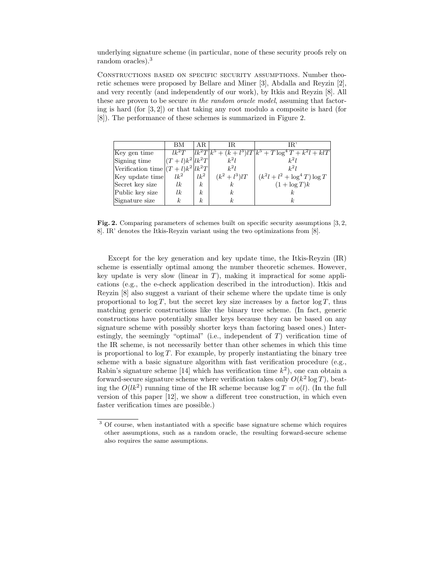underlying signature scheme (in particular, none of these security proofs rely on random oracles).<sup>3</sup>

Constructions based on specific security assumptions. Number theoretic schemes were proposed by Bellare and Miner [3], Abdalla and Reyzin [2], and very recently (and independently of our work), by Itkis and Reyzin [8]. All these are proven to be secure in the random oracle model, assuming that factoring is hard (for [3, 2]) or that taking any root modulo a composite is hard (for [8]). The performance of these schemes is summarized in Figure 2.

|                                      | ВM               | ΑR               | IR.                 | IR'                                                                           |
|--------------------------------------|------------------|------------------|---------------------|-------------------------------------------------------------------------------|
| Key gen time                         |                  |                  |                     | $lk^2T \quad lk^2T \quad lk^5 + (k+l^3)lT \mid k^5 + T \log^4 T + k^2l + klT$ |
| Signing time                         | $(T+l)k^2 lk^2T$ |                  | $k^2l$              | $k^2l$                                                                        |
| Verification time $ (T+l)k^2 lk^2T $ |                  |                  | $k^2l$              | $k^2l$                                                                        |
| Key update time                      | $lk^2$           | $lk^2$           | $(k^{2} + l^{3})lT$ | $(k^{2}l + l^{2} + \log^{4} T) \log T$                                        |
| Secret key size                      | lk               | $\boldsymbol{k}$ | $\boldsymbol{k}$    | $(1 + \log T)k$                                                               |
| Public key size                      | lk               | $\boldsymbol{k}$ |                     |                                                                               |
| Signature size                       | $\boldsymbol{k}$ | k <sub>i</sub>   |                     | k.                                                                            |

Fig. 2. Comparing parameters of schemes built on specific security assumptions [3, 2, 8]. IR' denotes the Itkis-Reyzin variant using the two optimizations from [8].

Except for the key generation and key update time, the Itkis-Reyzin (IR) scheme is essentially optimal among the number theoretic schemes. However, key update is very slow (linear in  $T$ ), making it impractical for some applications (e.g., the e-check application described in the introduction). Itkis and Reyzin [8] also suggest a variant of their scheme where the update time is only proportional to  $\log T$ , but the secret key size increases by a factor  $\log T$ , thus matching generic constructions like the binary tree scheme. (In fact, generic constructions have potentially smaller keys because they can be based on any signature scheme with possibly shorter keys than factoring based ones.) Interestingly, the seemingly "optimal" (i.e., independent of  $T$ ) verification time of the IR scheme, is not necessarily better than other schemes in which this time is proportional to  $log T$ . For example, by properly instantiating the binary tree scheme with a basic signature algorithm with fast verification procedure (e.g., Rabin's signature scheme [14] which has verification time  $k^2$ , one can obtain a forward-secure signature scheme where verification takes only  $O(k^2 \log T)$ , beating the  $O(lk^2)$  running time of the IR scheme because  $\log T = o(l)$ . (In the full version of this paper [12], we show a different tree construction, in which even faster verification times are possible.)

<sup>&</sup>lt;sup>3</sup> Of course, when instantiated with a specific base signature scheme which requires other assumptions, such as a random oracle, the resulting forward-secure scheme also requires the same assumptions.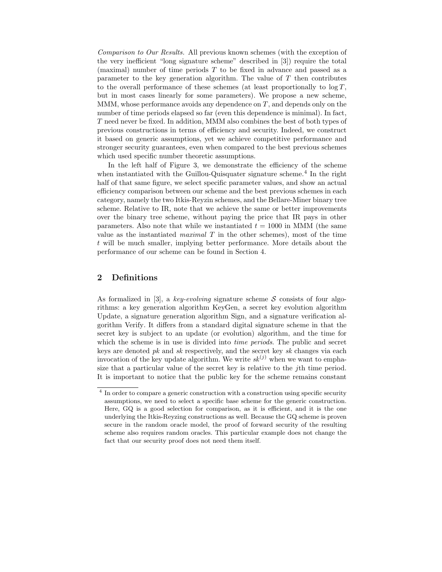Comparison to Our Results. All previous known schemes (with the exception of the very inefficient "long signature scheme" described in [3]) require the total (maximal) number of time periods T to be fixed in advance and passed as a parameter to the key generation algorithm. The value of  $T$  then contributes to the overall performance of these schemes (at least proportionally to  $\log T$ , but in most cases linearly for some parameters). We propose a new scheme, MMM, whose performance avoids any dependence on  $T$ , and depends only on the number of time periods elapsed so far (even this dependence is minimal). In fact, T need never be fixed. In addition, MMM also combines the best of both types of previous constructions in terms of efficiency and security. Indeed, we construct it based on generic assumptions, yet we achieve competitive performance and stronger security guarantees, even when compared to the best previous schemes which used specific number theoretic assumptions.

In the left half of Figure 3, we demonstrate the efficiency of the scheme when instantiated with the Guillou-Quisquater signature scheme.<sup>4</sup> In the right half of that same figure, we select specific parameter values, and show an actual efficiency comparison between our scheme and the best previous schemes in each category, namely the two Itkis-Reyzin schemes, and the Bellare-Miner binary tree scheme. Relative to IR, note that we achieve the same or better improvements over the binary tree scheme, without paying the price that IR pays in other parameters. Also note that while we instantiated  $t = 1000$  in MMM (the same value as the instantiated *maximal*  $T$  in the other schemes), most of the time t will be much smaller, implying better performance. More details about the performance of our scheme can be found in Section 4.

# 2 Definitions

As formalized in [3], a key-evolving signature scheme S consists of four algorithms: a key generation algorithm KeyGen, a secret key evolution algorithm Update, a signature generation algorithm Sign, and a signature verification algorithm Verify. It differs from a standard digital signature scheme in that the secret key is subject to an update (or evolution) algorithm, and the time for which the scheme is in use is divided into *time periods*. The public and secret keys are denoted  $pk$  and  $sk$  respectively, and the secret key  $sk$  changes via each invocation of the key update algorithm. We write  $sk^{(j)}$  when we want to emphasize that a particular value of the secret key is relative to the  $j$ <sup>th</sup> time period. It is important to notice that the public key for the scheme remains constant

 $^4$  In order to compare a generic construction with a construction using specific security assumptions, we need to select a specific base scheme for the generic construction. Here, GQ is a good selection for comparison, as it is efficient, and it is the one underlying the Itkis-Reyzing constructions as well. Because the GQ scheme is proven secure in the random oracle model, the proof of forward security of the resulting scheme also requires random oracles. This particular example does not change the fact that our security proof does not need them itself.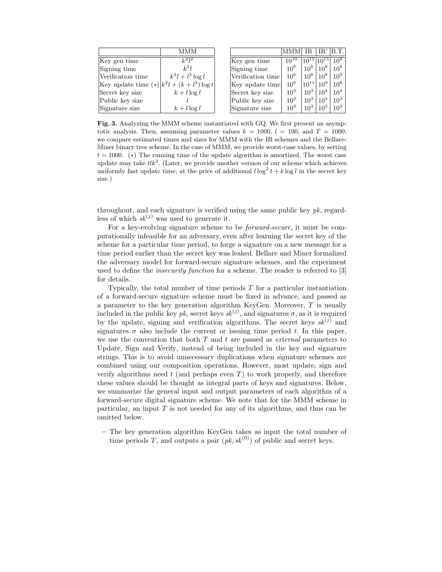|                                                      | MMM                |                   | MMM+      |                        |          | $IR'$ $B.T.$    |
|------------------------------------------------------|--------------------|-------------------|-----------|------------------------|----------|-----------------|
| Key gen time                                         | $k^2l^2$           | Key gen time      | $10^{10}$ |                        |          | 10 <sup>9</sup> |
| Signing time                                         | $k^2l$             | Signing time      | $10^{8}$  | 10 <sup>8</sup>        | $10^{8}$ | $10^{8}$        |
| Verification time                                    | $k^2l + l^2\log l$ | Verification time | $10^{8}$  | $10^8$   $10^8$        |          | $10^{9}$        |
| Key update time $(*)\left k^2l+(k+l^2)\log t\right $ |                    | Key update time   | $10^{8}$  | $10^{11}$              | $10^{9}$ | $10^{8}$        |
| Secret key size                                      | $k+l\log l$        | Secret key size   | $10^{3}$  | $10^3$ 10 <sup>4</sup> |          | 10 <sup>4</sup> |
| Public key size                                      |                    | Public key size   | $10^{2}$  | $10^3$                 | $10^{3}$ | $10^{3}$        |
| Signature size                                       | $k+l\log l$        | Signature size    | $10^3$    | $10^3$                 | $10^{3}$ | 10 <sup>4</sup> |

Fig. 3. Analyzing the MMM scheme instantiated with GQ. We first present an asymptotic analysis. Then, assuming parameter values  $k = 1000$ ,  $l = 100$ , and  $T = 1000$ , we compare estimated times and sizes for MMM with the IR schemes and the Bellare-Miner binary tree scheme. In the case of MMM, we provide worst-case values, by setting  $t = 1000$ . (\*) The running time of the update algorithm is amortized. The worst case update may take  $tlk^2$ . (Later, we provide another version of our scheme which achieves uniformly fast update time, at the price of additional  $l \log^2 t + k \log l$  in the secret key size.)

throughout, and each signature is verified using the same public key  $pk$ , regardless of which  $sk^{(j)}$  was used to generate it.

For a key-evolving signature scheme to be forward-secure, it must be computationally infeasible for an adversary, even after learning the secret key of the scheme for a particular time period, to forge a signature on a new message for a time period earlier than the secret key was leaked. Bellare and Miner formalized the adversary model for forward-secure signature schemes, and the experiment used to define the *insecurity function* for a scheme. The reader is referred to [3] for details.

Typically, the total number of time periods  $T$  for a particular instantiation of a forward-secure signature scheme must be fixed in advance, and passed as a parameter to the key generation algorithm KeyGen. Moreover, T is usually included in the public key  $pk$ , secret keys  $sk^{(j)}$ , and signatures  $\sigma$ , as it is required by the update, signing and verification algorithms. The secret keys  $sk^{(j)}$  and signatures  $\sigma$  also include the current or issuing time period t. In this paper, we use the convention that both  $T$  and  $t$  are passed as *external* parameters to Update, Sign and Verify, instead of being included in the key and signature strings. This is to avoid unnecessary duplications when signature schemes are combined using our composition operations. However, most update, sign and verify algorithms need  $t$  (and perhaps even  $T$ ) to work properly, and therefore these values should be thought as integral parts of keys and signatures. Below, we summarize the general input and output parameters of each algorithm of a forward-secure digital signature scheme. We note that for the MMM scheme in particular, an input  $T$  is not needed for any of its algorithms, and thus can be omitted below.

– The key generation algorithm KeyGen takes as input the total number of time periods T, and outputs a pair  $(pk, sk^{(0)})$  of public and secret keys.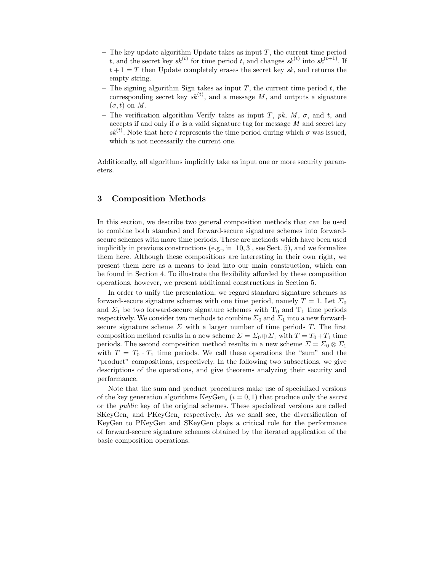- The key update algorithm Update takes as input  $T$ , the current time period t, and the secret key  $sk^{(t)}$  for time period t, and changes  $sk^{(t)}$  into  $sk^{(t+1)}$ . If  $t + 1 = T$  then Update completely erases the secret key sk, and returns the empty string.
- The signing algorithm Sign takes as input  $T$ , the current time period  $t$ , the corresponding secret key  $sk^{(t)}$ , and a message M, and outputs a signature  $(\sigma, t)$  on M.
- The verification algorithm Verify takes as input T, pk, M,  $\sigma$ , and t, and accepts if and only if  $\sigma$  is a valid signature tag for message M and secret key  $sk^{(t)}$ . Note that here t represents the time period during which  $\sigma$  was issued, which is not necessarily the current one.

Additionally, all algorithms implicitly take as input one or more security parameters.

# 3 Composition Methods

In this section, we describe two general composition methods that can be used to combine both standard and forward-secure signature schemes into forwardsecure schemes with more time periods. These are methods which have been used implicitly in previous constructions (e.g., in  $[10, 3]$ , see Sect. 5), and we formalize them here. Although these compositions are interesting in their own right, we present them here as a means to lead into our main construction, which can be found in Section 4. To illustrate the flexibility afforded by these composition operations, however, we present additional constructions in Section 5.

In order to unify the presentation, we regard standard signature schemes as forward-secure signature schemes with one time period, namely  $T = 1$ . Let  $\Sigma_0$ and  $\Sigma_1$  be two forward-secure signature schemes with T<sub>0</sub> and T<sub>1</sub> time periods respectively. We consider two methods to combine  $\Sigma_0$  and  $\Sigma_1$  into a new forwardsecure signature scheme  $\Sigma$  with a larger number of time periods  $T$ . The first composition method results in a new scheme  $\Sigma = \Sigma_0 \oplus \Sigma_1$  with  $T = T_0 + T_1$  time periods. The second composition method results in a new scheme  $\Sigma = \Sigma_0 \otimes \Sigma_1$ with  $T = T_0 \cdot T_1$  time periods. We call these operations the "sum" and the "product" compositions, respectively. In the following two subsections, we give descriptions of the operations, and give theorems analyzing their security and performance.

Note that the sum and product procedures make use of specialized versions of the key generation algorithms  $KeyGen_i$   $(i = 0, 1)$  that produce only the *secret* or the public key of the original schemes. These specialized versions are called  $SKeyGen_i$  and  $PKeyGen_i$  respectively. As we shall see, the diversification of KeyGen to PKeyGen and SKeyGen plays a critical role for the performance of forward-secure signature schemes obtained by the iterated application of the basic composition operations.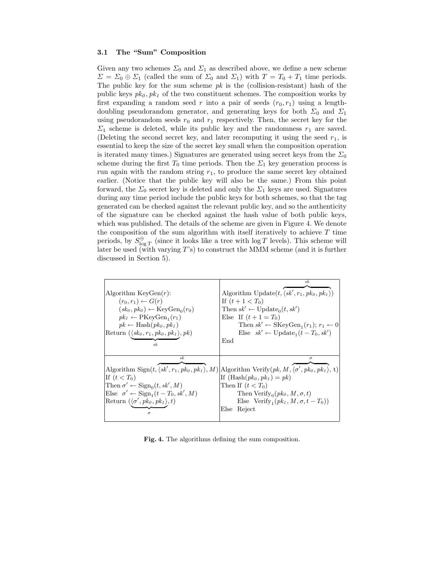### 3.1 The "Sum" Composition

Given any two schemes  $\Sigma_0$  and  $\Sigma_1$  as described above, we define a new scheme  $\Sigma = \Sigma_0 \oplus \Sigma_1$  (called the sum of  $\Sigma_0$  and  $\Sigma_1$ ) with  $T = T_0 + T_1$  time periods. The public key for the sum scheme  $pk$  is the (collision-resistant) hash of the public keys  $pk_0$ ,  $pk_1$  of the two constituent schemes. The composition works by first expanding a random seed r into a pair of seeds  $(r_0, r_1)$  using a lengthdoubling pseudorandom generator, and generating keys for both  $\Sigma_0$  and  $\Sigma_1$ using pseudorandom seeds  $r_0$  and  $r_1$  respectively. Then, the secret key for the  $\Sigma_1$  scheme is deleted, while its public key and the randomness  $r_1$  are saved. (Deleting the second secret key, and later recomputing it using the seed  $r_1$ , is essential to keep the size of the secret key small when the composition operation is iterated many times.) Signatures are generated using secret keys from the  $\Sigma_0$ scheme during the first  $T_0$  time periods. Then the  $\Sigma_1$  key generation process is run again with the random string  $r_1$ , to produce the same secret key obtained earlier. (Notice that the public key will also be the same.) From this point forward, the  $\Sigma_0$  secret key is deleted and only the  $\Sigma_1$  keys are used. Signatures during any time period include the public keys for both schemes, so that the tag generated can be checked against the relevant public key, and so the authenticity of the signature can be checked against the hash value of both public keys, which was published. The details of the scheme are given in Figure 4. We denote the composition of the sum algorithm with itself iteratively to achieve T time periods, by  $S^\oplus_{\log T}$  (since it looks like a tree with  $\log T$  levels). This scheme will later be used (with varying T's) to construct the MMM scheme (and it is further discussed in Section 5).

| Algorithm $KeyGen(r)$ :<br>$(r_0,r_1) \leftarrow G(r)$<br>$(s k_0, p k_0) \leftarrow \text{KeyGen}_0(r_0)$<br>$pk_1 \leftarrow \text{PKeyGen}_1(r_1)$<br>$pk \leftarrow$ Hash $(pk_0, pk_1)$<br>Return $(\langle sk_0, r_1, pk_0, pk_1 \rangle, pk)$<br>$s$ $k$ | sk<br>Algorithm Update $(t, \langle sk', r_1, pk_0, pk_1 \rangle)$<br>If $(t+1 < T_0)$<br>Then $sk' \leftarrow Update_0(t, sk')$<br>Else If $(t+1=T_0)$<br>Then $sk' \leftarrow \text{SKeyGen}_1(r_1); r_1 \leftarrow 0$<br>Else $sk' \leftarrow \text{Update}_1(t - T_0, sk')$<br>End                     |
|-----------------------------------------------------------------------------------------------------------------------------------------------------------------------------------------------------------------------------------------------------------------|------------------------------------------------------------------------------------------------------------------------------------------------------------------------------------------------------------------------------------------------------------------------------------------------------------|
| sk<br>If $(t < T_0)$<br>Then $\sigma' \leftarrow$ Sign <sub>0</sub> $(t, sk', M)$<br>Else $\sigma' \leftarrow \text{Sign}_1(t - T_0, sk', M)$<br>Return $(\langle \sigma', \mathit{pk}_0, \mathit{pk}_1 \rangle, t)$<br>$\sigma$                                | $\sigma$<br>Algorithm Sign $(t, \langle sk', r_1, pk_0, pk_1 \rangle, M)$ Algorithm Verify $(pk, M, \langle \sigma', pk_0, pk_1 \rangle, t)$<br>If $(Hash(pk_0, pk_1) = pk)$<br>Then If $(t < T_0)$<br>Then $Verify_0(pk_0, M, \sigma, t)$<br>Else $Verify_1(pk_1, M, \sigma, t - T_0))$<br>Reject<br>Else |

Fig. 4. The algorithms defining the sum composition.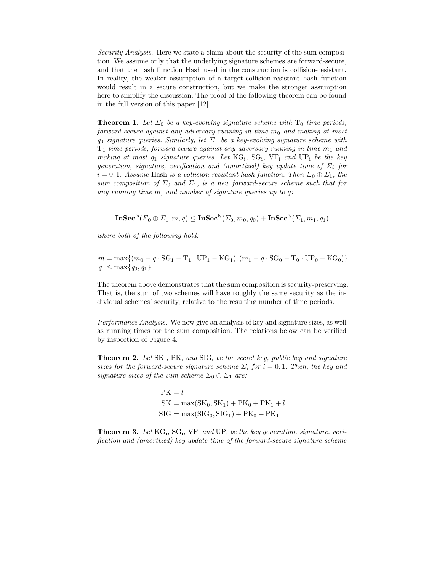Security Analysis. Here we state a claim about the security of the sum composition. We assume only that the underlying signature schemes are forward-secure, and that the hash function Hash used in the construction is collision-resistant. In reality, the weaker assumption of a target-collision-resistant hash function would result in a secure construction, but we make the stronger assumption here to simplify the discussion. The proof of the following theorem can be found in the full version of this paper [12].

**Theorem 1.** Let  $\Sigma_0$  be a key-evolving signature scheme with  $T_0$  time periods, forward-secure against any adversary running in time  $m_0$  and making at most  $q_0$  signature queries. Similarly, let  $\Sigma_1$  be a key-evolving signature scheme with  $T_1$  time periods, forward-secure against any adversary running in time  $m_1$  and making at most  $q_1$  signature queries. Let  $KG_i$ ,  $SG_i$ ,  $VF_i$  and  $UP_i$  be the key generation, signature, verification and (amortized) key update time of  $\Sigma_i$  for  $i = 0, 1$ . Assume Hash is a collision-resistant hash function. Then  $\Sigma_0 \oplus \Sigma_1$ , the sum composition of  $\Sigma_0$  and  $\Sigma_1$ , is a new forward-secure scheme such that for any running time  $m$ , and number of signature queries up to  $q$ :

 $\mathbf{InSec}^{\text{fs}}(\Sigma_0 \oplus \Sigma_1, m, q) \leq \mathbf{InSec}^{\text{fs}}(\Sigma_0, m_0, q_0) + \mathbf{InSec}^{\text{fs}}(\Sigma_1, m_1, q_1)$ 

where both of the following hold:

 $m = \max\{(m_0 - q \cdot SG_1 - T_1 \cdot UP_1 - KG_1), (m_1 - q \cdot SG_0 - T_0 \cdot UP_0 - KG_0)\}$  $q \leq \max\{q_0, q_1\}$ 

The theorem above demonstrates that the sum composition is security-preserving. That is, the sum of two schemes will have roughly the same security as the individual schemes' security, relative to the resulting number of time periods.

Performance Analysis. We now give an analysis of key and signature sizes, as well as running times for the sum composition. The relations below can be verified by inspection of Figure 4.

**Theorem 2.** Let  $SK_i$ ,  $PK_i$  and  $SIG_i$  be the secret key, public key and signature sizes for the forward-secure signature scheme  $\Sigma_i$  for  $i = 0, 1$ . Then, the key and signature sizes of the sum scheme  $\Sigma_0 \oplus \Sigma_1$  are:

> $PK = l$  $SK = max(SK_0, SK_1) + PK_0 + PK_1 + l$  $SIG = max(SIG<sub>0</sub>, SIG<sub>1</sub>) + PK<sub>0</sub> + PK<sub>1</sub>$

**Theorem 3.** Let  $KG_i$ ,  $SG_i$ ,  $VF_i$  and  $UP_i$  be the key generation, signature, verification and (amortized) key update time of the forward-secure signature scheme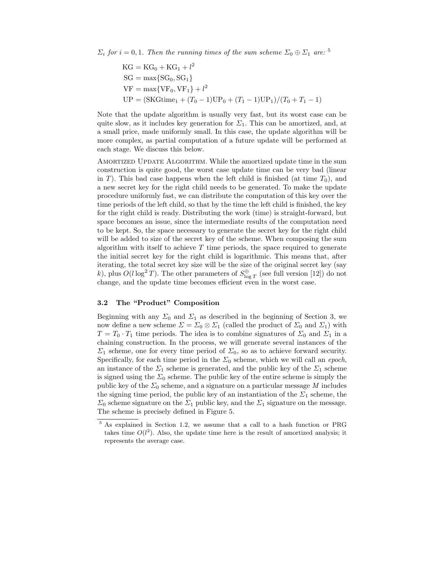$\Sigma_i$  for  $i = 0, 1$ . Then the running times of the sum scheme  $\Sigma_0 \oplus \Sigma_1$  are: <sup>5</sup>

$$
KG = KG_0 + KG_1 + l^2
$$
  
\n
$$
SG = \max\{SG_0, SG_1\}
$$
  
\n
$$
VF = \max\{VF_0, VF_1\} + l^2
$$
  
\n
$$
UP = (SKGtime_1 + (T_0 - 1)UP_0 + (T_1 - 1)UP_1)/(T_0 + T_1 - 1)
$$

Note that the update algorithm is usually very fast, but its worst case can be quite slow, as it includes key generation for  $\Sigma_1$ . This can be amortized, and, at a small price, made uniformly small. In this case, the update algorithm will be more complex, as partial computation of a future update will be performed at each stage. We discuss this below.

AMORTIZED UPDATE ALGORITHM. While the amortized update time in the sum construction is quite good, the worst case update time can be very bad (linear in T). This bad case happens when the left child is finished (at time  $T_0$ ), and a new secret key for the right child needs to be generated. To make the update procedure uniformly fast, we can distribute the computation of this key over the time periods of the left child, so that by the time the left child is finished, the key for the right child is ready. Distributing the work (time) is straight-forward, but space becomes an issue, since the intermediate results of the computation need to be kept. So, the space necessary to generate the secret key for the right child will be added to size of the secret key of the scheme. When composing the sum algorithm with itself to achieve  $T$  time periods, the space required to generate the initial secret key for the right child is logarithmic. This means that, after iterating, the total secret key size will be the size of the original secret key (say k), plus  $O(l \log^2 T)$ . The other parameters of  $S^\oplus_{\log T}$  (see full version [12]) do not change, and the update time becomes efficient even in the worst case.

#### 3.2 The "Product" Composition

Beginning with any  $\Sigma_0$  and  $\Sigma_1$  as described in the beginning of Section 3, we now define a new scheme  $\Sigma = \Sigma_0 \otimes \Sigma_1$  (called the product of  $\Sigma_0$  and  $\Sigma_1$ ) with  $T = T_0 \cdot T_1$  time periods. The idea is to combine signatures of  $\Sigma_0$  and  $\Sigma_1$  in a chaining construction. In the process, we will generate several instances of the  $\Sigma_1$  scheme, one for every time period of  $\Sigma_0$ , so as to achieve forward security. Specifically, for each time period in the  $\Sigma_0$  scheme, which we will call an *epoch*, an instance of the  $\Sigma_1$  scheme is generated, and the public key of the  $\Sigma_1$  scheme is signed using the  $\Sigma_0$  scheme. The public key of the entire scheme is simply the public key of the  $\Sigma_0$  scheme, and a signature on a particular message M includes the signing time period, the public key of an instantiation of the  $\Sigma_1$  scheme, the  $\Sigma_0$  scheme signature on the  $\Sigma_1$  public key, and the  $\Sigma_1$  signature on the message. The scheme is precisely defined in Figure 5.

<sup>5</sup> As explained in Section 1.2, we assume that a call to a hash function or PRG takes time  $O(l^2)$ . Also, the update time here is the result of amortized analysis; it represents the average case.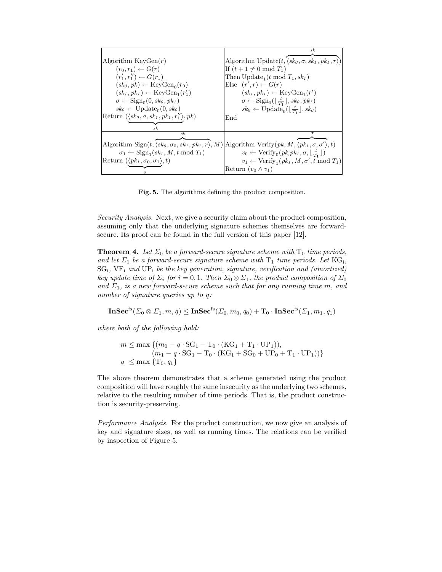|                                                                                                                                             | sk                                                                                |
|---------------------------------------------------------------------------------------------------------------------------------------------|-----------------------------------------------------------------------------------|
| Algorithm $KeyGen(r)$                                                                                                                       | Algorithm Update $(t, \langle sk_0, \sigma, sk_1, pk_1, r \rangle)$               |
| $(r_0,r_1) \leftarrow G(r)$                                                                                                                 | If $(t+1 \neq 0 \mod T_1)$                                                        |
| $(r'_1, r''_1) \leftarrow G(r_1)$                                                                                                           | Then $Update_1(t \mod T_1, sk_1)$                                                 |
| $(s k_0, p k) \leftarrow \text{KeyGen}_0(r_0)$                                                                                              | Else $(r', r) \leftarrow G(r)$                                                    |
| $(sk_1, pk_1) \leftarrow \text{KeyGen}_1(r_1')$                                                                                             | $(sk_1, pk_1) \leftarrow \text{KeyGen}_1(r')$                                     |
| $\sigma \leftarrow \text{Sign}_0(0, sk_0, pk_1)$                                                                                            | $\sigma \leftarrow \text{Sign}_0(\lfloor \frac{t}{T_1} \rfloor, sk_0, pk_1)$      |
| $sk_0 \leftarrow Update_0(0, sk_0)$                                                                                                         | $sk_0 \leftarrow \text{Update}_0(\lfloor \frac{t}{T_1} \rfloor, sk_0)$            |
| Return $(\langle sk_0, \sigma, sk_1, pk_1, r_1'' \rangle, pk)$                                                                              | $\operatorname{End}$                                                              |
| sk                                                                                                                                          |                                                                                   |
| sk                                                                                                                                          | $\sigma$                                                                          |
| Algorithm Sign $(t, \langle sk_0, \sigma_0, sk_1, pk_1, r \rangle, M)$ Algorithm Verify $(pk, M, \langle pk_1, \sigma, \sigma' \rangle, t)$ |                                                                                   |
| $\sigma_1 \leftarrow$ Sign <sub>1</sub> (sk <sub>1</sub> , M, t mod $T_1$ )                                                                 | $v_0 \leftarrow \text{Verify}_0(pk, pk_1, \sigma, \lfloor \frac{t}{T_1} \rfloor)$ |
| Return $(\langle pk_1, \sigma_0, \sigma_1 \rangle, t)$                                                                                      | $v_1 \leftarrow \text{Verify}_1(pk_1, M, \sigma', t \text{ mod } T_1)$            |
|                                                                                                                                             | Return $(v_0 \wedge v_1)$                                                         |

Fig. 5. The algorithms defining the product composition.

Security Analysis. Next, we give a security claim about the product composition, assuming only that the underlying signature schemes themselves are forwardsecure. Its proof can be found in the full version of this paper [12].

**Theorem 4.** Let  $\Sigma_0$  be a forward-secure signature scheme with  $T_0$  time periods, and let  $\Sigma_1$  be a forward-secure signature scheme with  $T_1$  time periods. Let KG<sub>i</sub>,  $SG_i$ ,  $VF_i$  and  $UP_i$  be the key generation, signature, verification and (amortized) key update time of  $\Sigma_i$  for  $i = 0, 1$ . Then  $\Sigma_0 \otimes \Sigma_1$ , the product composition of  $\Sigma_0$ and  $\Sigma_1$ , is a new forward-secure scheme such that for any running time m, and number of signature queries up to q:

 $\textbf{InSec}^{\text{fs}}(\Sigma_0\otimes \Sigma_1, m, q)\leq \textbf{InSec}^{\text{fs}}(\Sigma_0, m_0, q_0) + \textup{T}_0\cdot \textbf{InSec}^{\text{fs}}(\Sigma_1, m_1, q_1)$ 

where both of the following hold:

$$
m \le \max \left\{ (m_0 - q \cdot SG_1 - T_0 \cdot (KG_1 + T_1 \cdot UP_1)),
$$
  
\n
$$
(m_1 - q \cdot SG_1 - T_0 \cdot (KG_1 + SG_0 + UP_0 + T_1 \cdot UP_1)) \right\}
$$
  
\n
$$
q \le \max \left\{ T_0, q_1 \right\}
$$

The above theorem demonstrates that a scheme generated using the product composition will have roughly the same insecurity as the underlying two schemes, relative to the resulting number of time periods. That is, the product construction is security-preserving.

Performance Analysis. For the product construction, we now give an analysis of key and signature sizes, as well as running times. The relations can be verified by inspection of Figure 5.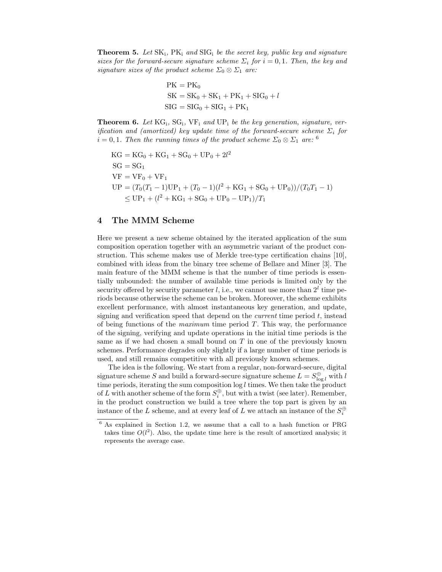**Theorem 5.** Let  $SK_i$ ,  $PK_i$  and  $SIG_i$  be the secret key, public key and signature sizes for the forward-secure signature scheme  $\Sigma_i$  for  $i = 0, 1$ . Then, the key and signature sizes of the product scheme  $\Sigma_0 \otimes \Sigma_1$  are:

$$
PK = PK0
$$
  
SK = SK<sub>0</sub> + SK<sub>1</sub> + PK<sub>1</sub> + SIG<sub>0</sub> + l  
SIG = SIG<sub>0</sub> + SIG<sub>1</sub> + PK<sub>1</sub>

**Theorem 6.** Let  $KG_i$ ,  $SG_i$ ,  $VF_i$  and  $UP_i$  be the key generation, signature, verification and (amortized) key update time of the forward-secure scheme  $\Sigma_i$  for  $i = 0, 1$ . Then the running times of the product scheme  $\Sigma_0 \otimes \Sigma_1$  are: <sup>6</sup>

$$
KG = KG_0 + KG_1 + SG_0 + UP_0 + 2l^2
$$
  
\n
$$
SG = SG_1
$$
  
\n
$$
VF = VF_0 + VF_1
$$
  
\n
$$
UP = (T_0(T_1 - 1)UP_1 + (T_0 - 1)(l^2 + KG_1 + SG_0 + UP_0))/(T_0T_1 - 1)
$$
  
\n
$$
\leq UP_1 + (l^2 + KG_1 + SG_0 + UP_0 - UP_1)/T_1
$$

# 4 The MMM Scheme

Here we present a new scheme obtained by the iterated application of the sum composition operation together with an asymmetric variant of the product construction. This scheme makes use of Merkle tree-type certification chains [10], combined with ideas from the binary tree scheme of Bellare and Miner [3]. The main feature of the MMM scheme is that the number of time periods is essentially unbounded: the number of available time periods is limited only by the security offered by security parameter l, i.e., we cannot use more than  $2<sup>l</sup>$  time periods because otherwise the scheme can be broken. Moreover, the scheme exhibits excellent performance, with almost instantaneous key generation, and update, signing and verification speed that depend on the *current* time period  $t$ , instead of being functions of the *maximum* time period  $T$ . This way, the performance of the signing, verifying and update operations in the initial time periods is the same as if we had chosen a small bound on  $T$  in one of the previously known schemes. Performance degrades only slightly if a large number of time periods is used, and still remains competitive with all previously known schemes.

The idea is the following. We start from a regular, non-forward-secure, digital signature scheme S and build a forward-secure signature scheme  $L = S^{\oplus}_{\log l}$  with l time periods, iterating the sum composition  $\log l$  times. We then take the product of L with another scheme of the form  $S_i^{\oplus}$ , but with a twist (see later). Remember, in the product construction we build a tree where the top part is given by an instance of the  $L$  scheme, and at every leaf of  $L$  we attach an instance of the  $S_i^{\oplus}$ 

<sup>6</sup> As explained in Section 1.2, we assume that a call to a hash function or PRG takes time  $O(l^2)$ . Also, the update time here is the result of amortized analysis; it represents the average case.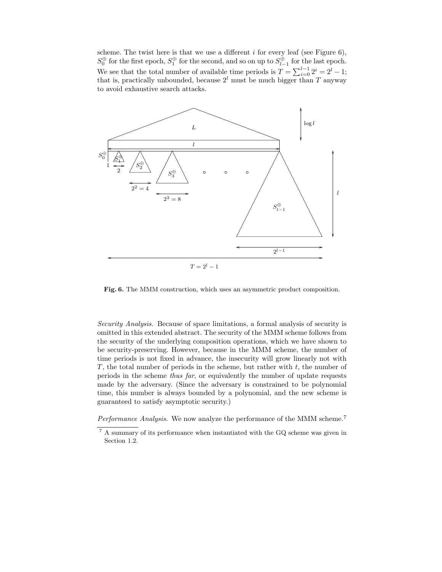scheme. The twist here is that we use a different  $i$  for every leaf (see Figure 6),  $S_0^{\oplus}$  for the first epoch,  $S_1^{\oplus}$  for the second, and so on up to  $S_{l-1}^{\oplus}$  for the last epoch. We see that the total number of available time periods is  $T = \sum_{i=0}^{l-1} 2^i = 2^l - 1$ ; that is, practically unbounded, because  $2^l$  must be much bigger than T anyway to avoid exhaustive search attacks.



Fig. 6. The MMM construction, which uses an asymmetric product composition.

Security Analysis. Because of space limitations, a formal analysis of security is omitted in this extended abstract. The security of the MMM scheme follows from the security of the underlying composition operations, which we have shown to be security-preserving. However, because in the MMM scheme, the number of time periods is not fixed in advance, the insecurity will grow linearly not with T, the total number of periods in the scheme, but rather with  $t$ , the number of periods in the scheme thus far, or equivalently the number of update requests made by the adversary. (Since the adversary is constrained to be polynomial time, this number is always bounded by a polynomial, and the new scheme is guaranteed to satisfy asymptotic security.)

Performance Analysis. We now analyze the performance of the MMM scheme.<sup>7</sup>

<sup>7</sup> A summary of its performance when instantiated with the GQ scheme was given in Section 1.2.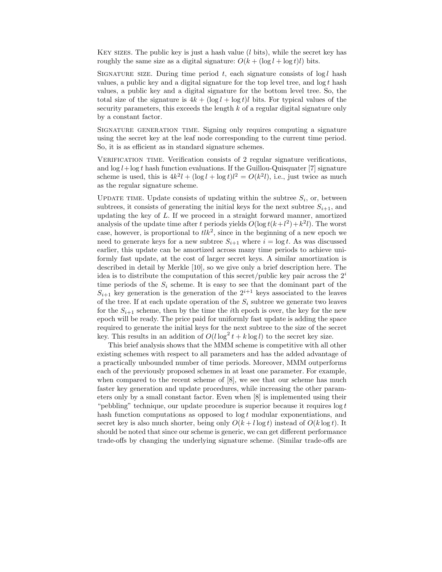KEY SIZES. The public key is just a hash value  $(l \text{ bits}),$  while the secret key has roughly the same size as a digital signature:  $O(k + (\log l + \log t)l)$  bits.

SIGNATURE SIZE. During time period t, each signature consists of  $\log l$  hash values, a public key and a digital signature for the top level tree, and  $\log t$  hash values, a public key and a digital signature for the bottom level tree. So, the total size of the signature is  $4k + (\log l + \log l)$  bits. For typical values of the security parameters, this exceeds the length  $k$  of a regular digital signature only by a constant factor.

Signature generation time. Signing only requires computing a signature using the secret key at the leaf node corresponding to the current time period. So, it is as efficient as in standard signature schemes.

VERIFICATION TIME. Verification consists of 2 regular signature verifications, and  $\log l + \log t$  hash function evaluations. If the Guillou-Quisquater [7] signature scheme is used, this is  $4k^2l + (\log l + \log t)l^2 = O(k^2l)$ , i.e., just twice as much as the regular signature scheme.

UPDATE TIME. Update consists of updating within the subtree  $S_i$ , or, between subtrees, it consists of generating the initial keys for the next subtree  $S_{i+1}$ , and updating the key of  $L$ . If we proceed in a straight forward manner, amortized analysis of the update time after t periods yields  $O(\log t(k+l^2) + k^2 l)$ . The worst case, however, is proportional to  $tlk^2$ , since in the beginning of a new epoch we need to generate keys for a new subtree  $S_{i+1}$  where  $i = \log t$ . As was discussed earlier, this update can be amortized across many time periods to achieve uniformly fast update, at the cost of larger secret keys. A similar amortization is described in detail by Merkle [10], so we give only a brief description here. The idea is to distribute the computation of this secret/public key pair across the  $2^i$ time periods of the  $S_i$  scheme. It is easy to see that the dominant part of the  $S_{i+1}$  key generation is the generation of the  $2^{i+1}$  keys associated to the leaves of the tree. If at each update operation of the  $S_i$  subtree we generate two leaves for the  $S_{i+1}$  scheme, then by the time the *i*th epoch is over, the key for the new epoch will be ready. The price paid for uniformly fast update is adding the space required to generate the initial keys for the next subtree to the size of the secret key. This results in an addition of  $O(l \log^2 t + k \log l)$  to the secret key size.

This brief analysis shows that the MMM scheme is competitive with all other existing schemes with respect to all parameters and has the added advantage of a practically unbounded number of time periods. Moreover, MMM outperforms each of the previously proposed schemes in at least one parameter. For example, when compared to the recent scheme of [8], we see that our scheme has much faster key generation and update procedures, while increasing the other parameters only by a small constant factor. Even when [8] is implemented using their "pebbling" technique, our update procedure is superior because it requires  $\log t$ hash function computations as opposed to  $\log t$  modular exponentiations, and secret key is also much shorter, being only  $O(k + l \log t)$  instead of  $O(k \log t)$ . It should be noted that since our scheme is generic, we can get different performance trade-offs by changing the underlying signature scheme. (Similar trade-offs are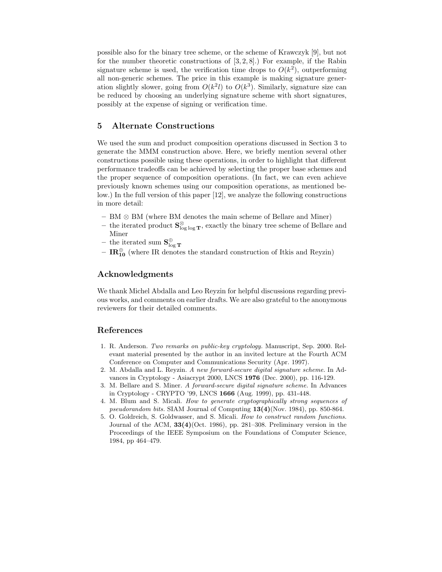possible also for the binary tree scheme, or the scheme of Krawczyk [9], but not for the number theoretic constructions of  $[3, 2, 8]$ .) For example, if the Rabin signature scheme is used, the verification time drops to  $O(k^2)$ , outperforming all non-generic schemes. The price in this example is making signature generation slightly slower, going from  $O(k^2l)$  to  $O(k^3)$ . Similarly, signature size can be reduced by choosing an underlying signature scheme with short signatures, possibly at the expense of signing or verification time.

# 5 Alternate Constructions

We used the sum and product composition operations discussed in Section 3 to generate the MMM construction above. Here, we briefly mention several other constructions possible using these operations, in order to highlight that different performance tradeoffs can be achieved by selecting the proper base schemes and the proper sequence of composition operations. (In fact, we can even achieve previously known schemes using our composition operations, as mentioned below.) In the full version of this paper [12], we analyze the following constructions in more detail:

- BM ⊗ BM (where BM denotes the main scheme of Bellare and Miner)
- the iterated product  $S^{\otimes}_{\log \log T}$ , exactly the binary tree scheme of Bellare and Miner
- the iterated sum  $S_{\log T}^{\oplus}$
- $-$  IR $_{10}^{\oplus}$  (where IR denotes the standard construction of Itkis and Reyzin)

# Acknowledgments

We thank Michel Abdalla and Leo Reyzin for helpful discussions regarding previous works, and comments on earlier drafts. We are also grateful to the anonymous reviewers for their detailed comments.

# References

- 1. R. Anderson. Two remarks on public-key cryptology. Manuscript, Sep. 2000. Relevant material presented by the author in an invited lecture at the Fourth ACM Conference on Computer and Communications Security (Apr. 1997).
- 2. M. Abdalla and L. Reyzin. A new forward-secure digital signature scheme. In Advances in Cryptology - Asiacrypt 2000, LNCS 1976 (Dec. 2000), pp. 116-129.
- 3. M. Bellare and S. Miner. A forward-secure digital signature scheme. In Advances in Cryptology - CRYPTO '99, LNCS 1666 (Aug. 1999), pp. 431-448.
- 4. M. Blum and S. Micali. How to generate cryptographically strong sequences of pseudorandom bits. SIAM Journal of Computing 13(4)(Nov. 1984), pp. 850-864.
- 5. O. Goldreich, S. Goldwasser, and S. Micali. How to construct random functions. Journal of the ACM,  $33(4)(Oct. 1986)$ , pp. 281–308. Preliminary version in the Proceedings of the IEEE Symposium on the Foundations of Computer Science, 1984, pp 464–479.